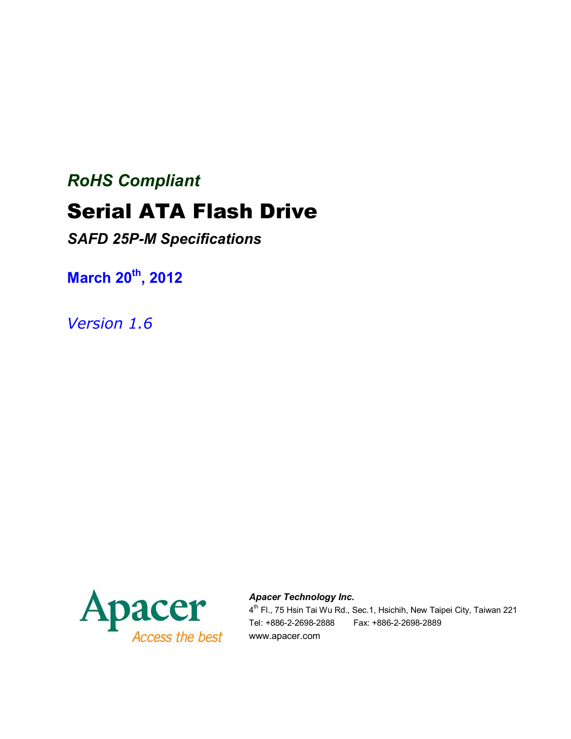# *RoHS Compliant* **Serial ATA Flash Drive**

*SAFD 25P-M Specifications*

**March 20th , 2012**

*Version 1.6*



*Apacer Technology Inc.* 4<sup>th</sup> Fl., 75 Hsin Tai Wu Rd., Sec.1, Hsichih, New Taipei City, Taiwan 221 Tel: +886-2-2698-2888 Fax: +886-2-2698-2889 www.apacer.com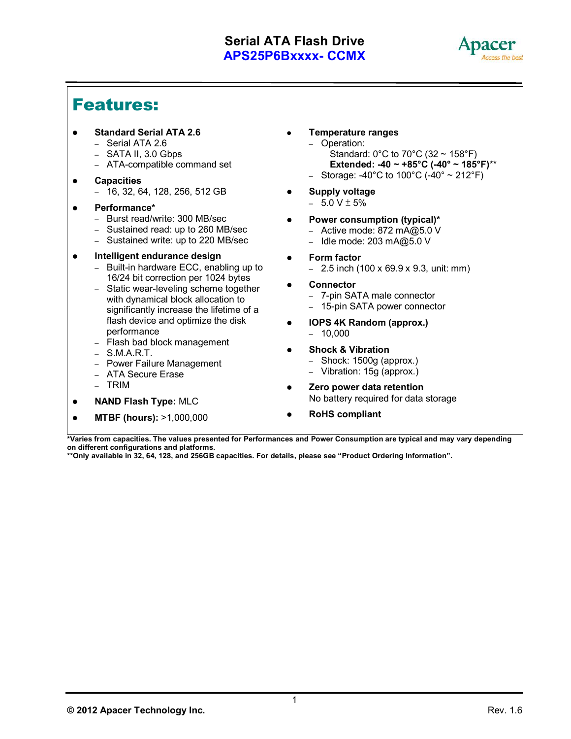

## **Features:**

- **Standard Serial ATA 2.6**
	- Serial ATA 2.6
	- SATA II, 3.0 Gbps
	- ATA-compatible command set
- **Capacities**
	- 16, 32, 64, 128, 256, 512 GB

#### **Performance\***

- Burst read/write: 300 MB/sec
- Sustained read: up to 260 MB/sec
- Sustained write: up to 220 MB/sec

#### **Intelligent endurance design**

- Built-in hardware ECC, enabling up to 16/24 bit correction per 1024 bytes
- Static wear-leveling scheme together with dynamical block allocation to significantly increase the lifetime of a flash device and optimize the disk performance
- Flash bad block management
- S.M.A.R.T.
- Power Failure Management
- ATA Secure Erase
- TRIM
- **NAND Flash Type:** MLC
- **MTBF (hours):** >1,000,000
- **Temperature ranges**
	- Operation: Standard:  $0^{\circ}$ C to 70 $^{\circ}$ C (32 ~ 158 $^{\circ}$ F)  **Extended: -40 ~ +85°C (-40° ~ 185°F)**\*\*
	- Storage: -40°C to 100°C (-40° ~ 212°F)
- **Supply voltage**  $-5.0$  V + 5%
- **Power consumption (typical)\***
	- Active mode: 872 mA@5.0 V
	- Idle mode: 203 mA@5.0 V
- **Form factor**
	- $-$  2.5 inch (100 x 69.9 x 9.3, unit: mm)
- **Connector**
	- 7-pin SATA male connector
	- 15-pin SATA power connector
	- **IOPS 4K Random (approx.)** – 10,000
- **Shock & Vibration**
	- Shock: 1500g (approx.)
	- Vibration: 15g (approx.)
- **Zero power data retention** No battery required for data storage
- **RoHS compliant**

**\*Varies from capacities. The values presented for Performances and Power Consumption are typical and may vary depending on different configurations and platforms.**

**\*\*Only available in 32, 64, 128, and 256GB capacities. For details, please see "Product Ordering Information".**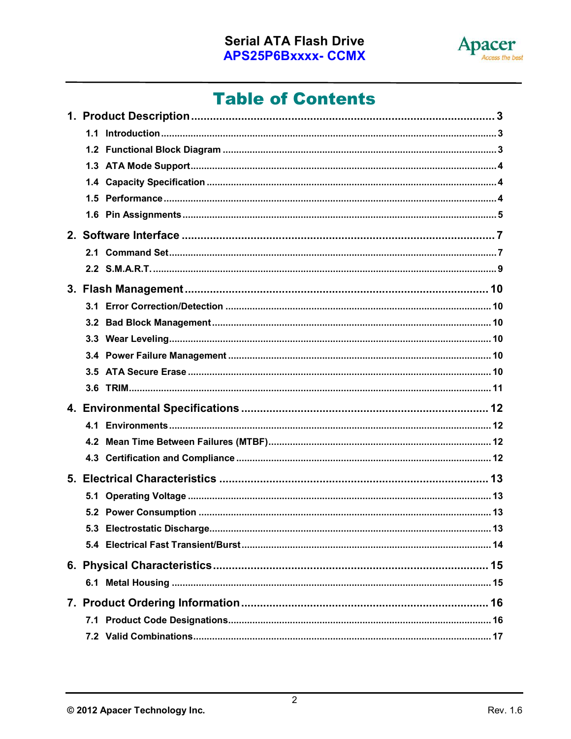## **Serial ATA Flash Drive APS25P6Bxxxx-CCMX**



## **Table of Contents**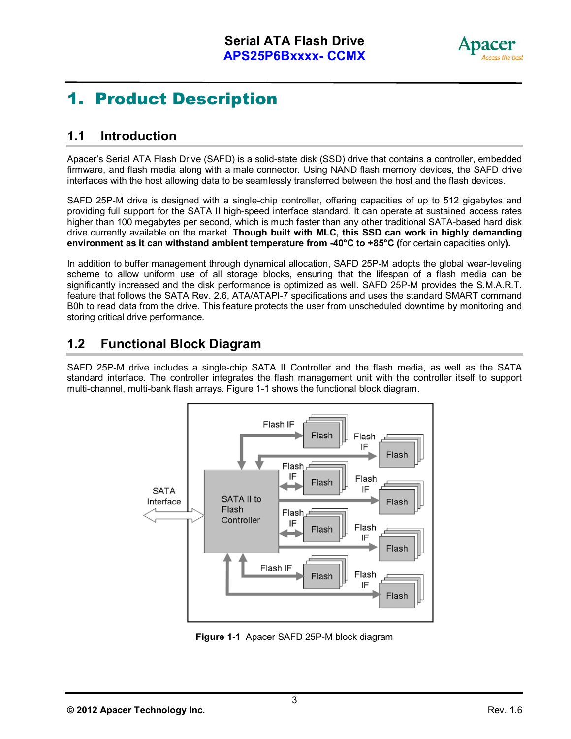

## **1. Product Description**

### **1.1 Introduction**

Apacer's Serial ATA Flash Drive (SAFD) is a solid-state disk (SSD) drive that contains a controller, embedded firmware, and flash media along with a male connector. Using NAND flash memory devices, the SAFD drive interfaces with the host allowing data to be seamlessly transferred between the host and the flash devices.

SAFD 25P-M drive is designed with a single-chip controller, offering capacities of up to 512 gigabytes and providing full support for the SATA II high-speed interface standard. It can operate at sustained access rates higher than 100 megabytes per second, which is much faster than any other traditional SATA-based hard disk drive currently available on the market. **Though built with MLC, this SSD can work in highly demanding environment as it can withstand ambient temperature from -40°C to +85°C (**for certain capacities only**).**

In addition to buffer management through dynamical allocation, SAFD 25P-M adopts the global wear-leveling scheme to allow uniform use of all storage blocks, ensuring that the lifespan of a flash media can be significantly increased and the disk performance is optimized as well. SAFD 25P-M provides the S.M.A.R.T. feature that follows the SATA Rev. 2.6, ATA/ATAPI-7 specifications and uses the standard SMART command B0h to read data from the drive. This feature protects the user from unscheduled downtime by monitoring and storing critical drive performance.

## **1.2 Functional Block Diagram**

SAFD 25P-M drive includes a single-chip SATA II Controller and the flash media, as well as the SATA standard interface. The controller integrates the flash management unit with the controller itself to support multi-channel, multi-bank flash arrays. Figure 1-1 shows the functional block diagram.



**Figure 1-1** Apacer SAFD 25P-M block diagram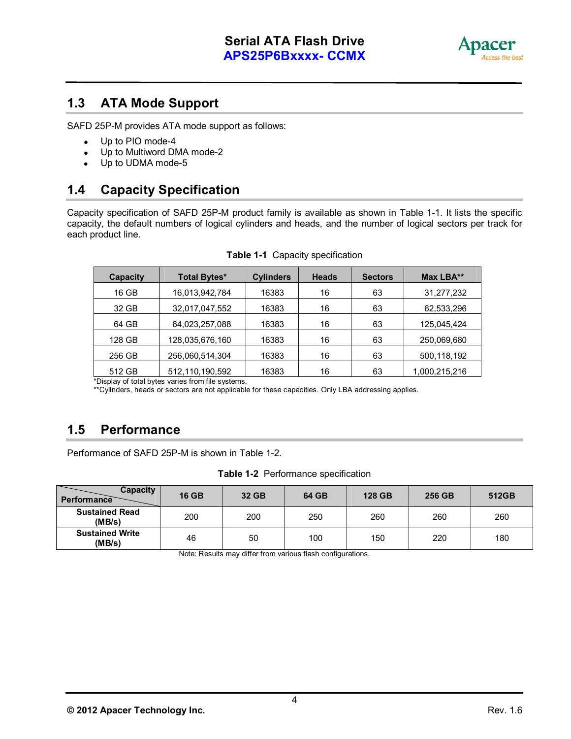

### **1.3 ATA Mode Support**

SAFD 25P-M provides ATA mode support as follows:

- Up to PIO mode-4
- Up to Multiword DMA mode-2
- Up to UDMA mode-5

### **1.4 Capacity Specification**

Capacity specification of SAFD 25P-M product family is available as shown in Table 1-1. It lists the specific capacity, the default numbers of logical cylinders and heads, and the number of logical sectors per track for each product line.

| Capacity | <b>Total Bytes*</b> | <b>Cylinders</b> | <b>Heads</b> | <b>Sectors</b> | Max LBA**     |
|----------|---------------------|------------------|--------------|----------------|---------------|
| 16 GB    | 16,013,942,784      | 16383            | 16           | 63             | 31,277,232    |
| 32 GB    | 32,017,047,552      | 16383            | 16           | 63             | 62,533,296    |
| 64 GB    | 64,023,257,088      | 16383            | 16           | 63             | 125,045,424   |
| 128 GB   | 128,035,676,160     | 16383            | 16           | 63             | 250,069,680   |
| 256 GB   | 256,060,514,304     | 16383            | 16           | 63             | 500,118,192   |
| 512 GB   | 512,110,190,592     | 16383            | 16           | 63             | 1,000,215,216 |

|  |  | Table 1-1 Capacity specification |
|--|--|----------------------------------|
|--|--|----------------------------------|

\*Display of total bytes varies from file systems.

\*\*Cylinders, heads or sectors are not applicable for these capacities. Only LBA addressing applies.

## **1.5 Performance**

Performance of SAFD 25P-M is shown in Table 1-2.

|  | Table 1-2 Performance specification |  |
|--|-------------------------------------|--|
|--|-------------------------------------|--|

| Capacity<br>Performance          | <b>16 GB</b> | 32 GB | 64 GB | <b>128 GB</b> | 256 GB | 512GB |
|----------------------------------|--------------|-------|-------|---------------|--------|-------|
| <b>Sustained Read</b><br>(MB/s)  | 200          | 200   | 250   | 260           | 260    | 260   |
| <b>Sustained Write</b><br>(MB/s) | 46           | 50    | 100   | 150           | 220    | 180   |

Note: Results may differ from various flash configurations.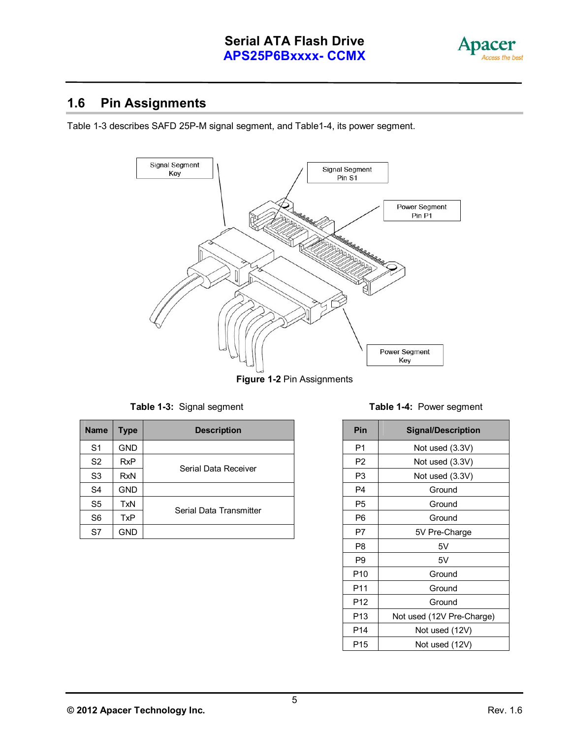

## **1.6 Pin Assignments**

Table 1-3 describes SAFD 25P-M signal segment, and Table1-4, its power segment.



**Figure 1-2** Pin Assignments

|  | Table 1-3: Signal segment |
|--|---------------------------|
|  |                           |

| <b>Name</b>    | Type       | <b>Description</b>      | Pin            | <b>Signal/Description</b> |
|----------------|------------|-------------------------|----------------|---------------------------|
| S <sub>1</sub> | <b>GND</b> |                         | P <sub>1</sub> | Not used (3.3V)           |
| S <sub>2</sub> | <b>RxP</b> | Serial Data Receiver    | P <sub>2</sub> | Not used (3.3V)           |
| S <sub>3</sub> | <b>RxN</b> |                         | P <sub>3</sub> | Not used (3.3V)           |
| S4             | GND        |                         | P <sub>4</sub> | Ground                    |
| S <sub>5</sub> | TxN        |                         | P <sub>5</sub> | Ground                    |
| S <sub>6</sub> | <b>TxP</b> | Serial Data Transmitter | P <sub>6</sub> | Ground                    |
| S7             | GND        |                         | P7             | 5V Pre-Charge             |

#### **Table 1-4: Power segment**

| Pin             | <b>Signal/Description</b> |  |  |  |
|-----------------|---------------------------|--|--|--|
| P1              | Not used (3.3V)           |  |  |  |
| P2              | Not used (3.3V)           |  |  |  |
| P3              | Not used (3.3V)           |  |  |  |
| P4<br>Ground    |                           |  |  |  |
| P <sub>5</sub>  | Ground                    |  |  |  |
| P6              | Ground                    |  |  |  |
| P7              | 5V Pre-Charge             |  |  |  |
| P8              | 5V                        |  |  |  |
| P <sub>9</sub>  | 5V                        |  |  |  |
| P <sub>10</sub> | Ground                    |  |  |  |
| P11             | Ground                    |  |  |  |
| P <sub>12</sub> | Ground                    |  |  |  |
| P <sub>13</sub> | Not used (12V Pre-Charge) |  |  |  |
| P <sub>14</sub> | Not used (12V)            |  |  |  |
| P15             | Not used (12V)            |  |  |  |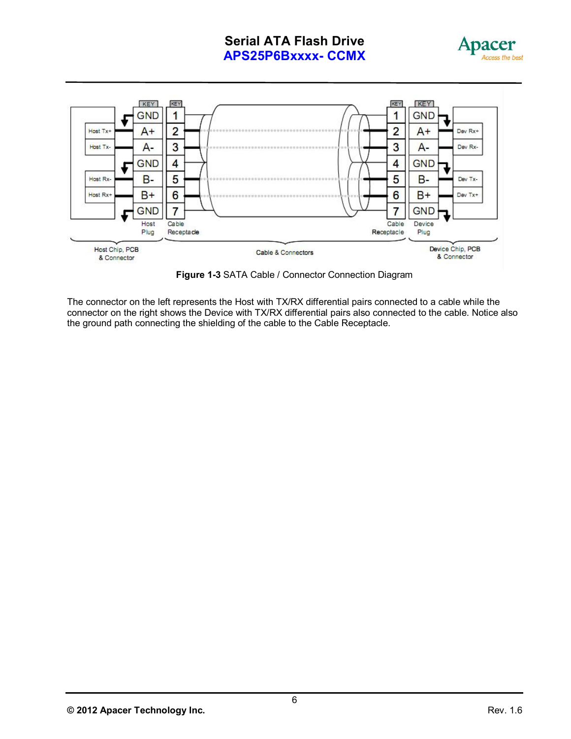### **Serial ATA Flash Drive APS25P6Bxxxx- CCMX**





**Figure 1-3** SATA Cable / Connector Connection Diagram

The connector on the left represents the Host with TX/RX differential pairs connected to a cable while the connector on the right shows the Device with TX/RX differential pairs also connected to the cable. Notice also the ground path connecting the shielding of the cable to the Cable Receptacle.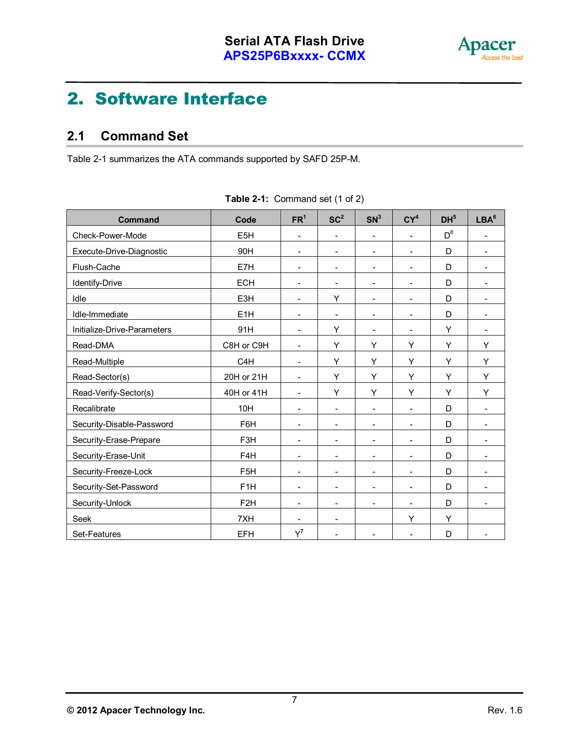

## **2. Software Interface**

### **2.1 Command Set**

Table 2-1 summarizes the ATA commands supported by SAFD 25P-M.

| <b>Command</b>              | Code             | FR <sup>1</sup>          | SC <sup>2</sup>          | SN <sup>3</sup>          | CY <sup>4</sup>          | DH <sup>5</sup> | LBA <sup>6</sup>         |
|-----------------------------|------------------|--------------------------|--------------------------|--------------------------|--------------------------|-----------------|--------------------------|
| Check-Power-Mode            | E <sub>5</sub> H | ÷                        |                          | -                        | $\overline{a}$           | $D^8$           | $\overline{\phantom{a}}$ |
| Execute-Drive-Diagnostic    | 90H              | L,                       |                          | $\overline{\phantom{0}}$ |                          | D               | $\blacksquare$           |
| Flush-Cache                 | E7H              | $\overline{\phantom{a}}$ | $\overline{\phantom{a}}$ | $\overline{\phantom{0}}$ | $\overline{\phantom{a}}$ | D               | $\overline{\phantom{a}}$ |
| Identify-Drive              | <b>ECH</b>       | ÷                        | $\overline{\phantom{a}}$ | $\overline{\phantom{0}}$ | $\overline{\phantom{a}}$ | D               | $\overline{\phantom{a}}$ |
| Idle                        | E3H              | $\overline{a}$           | Y                        | $\overline{\phantom{m}}$ | $\overline{a}$           | D               | $\overline{\phantom{a}}$ |
| Idle-Immediate              | E <sub>1</sub> H | $\overline{a}$           | $\overline{\phantom{a}}$ | $\overline{a}$           | $\blacksquare$           | D               | $\overline{\phantom{0}}$ |
| Initialize-Drive-Parameters | 91H              | $\overline{a}$           | Υ                        | $\overline{\phantom{a}}$ | $\overline{\phantom{a}}$ | Υ               | $\overline{\phantom{0}}$ |
| Read-DMA                    | C8H or C9H       | L,                       | Υ                        | Y                        | Y                        | Y               | Y                        |
| Read-Multiple               | C <sub>4</sub> H | ÷                        | Υ                        | Υ                        | Y                        | Y               | Y                        |
| Read-Sector(s)              | 20H or 21H       | -                        | Υ                        | Υ                        | Υ                        | Υ               | Υ                        |
| Read-Verify-Sector(s)       | 40H or 41H       | $\overline{a}$           | Y                        | Y                        | Y                        | Y               | Y                        |
| Recalibrate                 | 10H              | -                        | $\overline{\phantom{a}}$ | $\overline{a}$           | $\overline{\phantom{0}}$ | D               | $\overline{\phantom{a}}$ |
| Security-Disable-Password   | F6H              | L,                       |                          | $\overline{a}$           | $\overline{\phantom{a}}$ | D               | $\overline{\phantom{a}}$ |
| Security-Erase-Prepare      | F3H              | $\overline{a}$           | $\overline{\phantom{a}}$ | $\overline{\phantom{a}}$ | $\overline{a}$           | D               | $\overline{\phantom{a}}$ |
| Security-Erase-Unit         | F4H              | L,                       | $\blacksquare$           | $\overline{\phantom{0}}$ | $\overline{\phantom{0}}$ | D               | $\blacksquare$           |
| Security-Freeze-Lock        | F <sub>5</sub> H | ÷                        | $\overline{\phantom{a}}$ | $\overline{\phantom{a}}$ | $\overline{\phantom{a}}$ | D               | $\overline{\phantom{0}}$ |
| Security-Set-Password       | F <sub>1</sub> H |                          |                          | $\overline{a}$           |                          | D               | -                        |
| Security-Unlock             | F <sub>2</sub> H | $\overline{a}$           | $\overline{\phantom{a}}$ | $\overline{\phantom{0}}$ | $\overline{\phantom{a}}$ | D               | $\overline{\phantom{a}}$ |
| Seek                        | 7XH              | ۰                        |                          |                          | Υ                        | Y               |                          |
| Set-Features                | <b>EFH</b>       | $Y^7$                    |                          |                          |                          | D               | $\overline{\phantom{a}}$ |

|  | Table 2-1: Command set (1 of 2) |  |  |
|--|---------------------------------|--|--|
|  |                                 |  |  |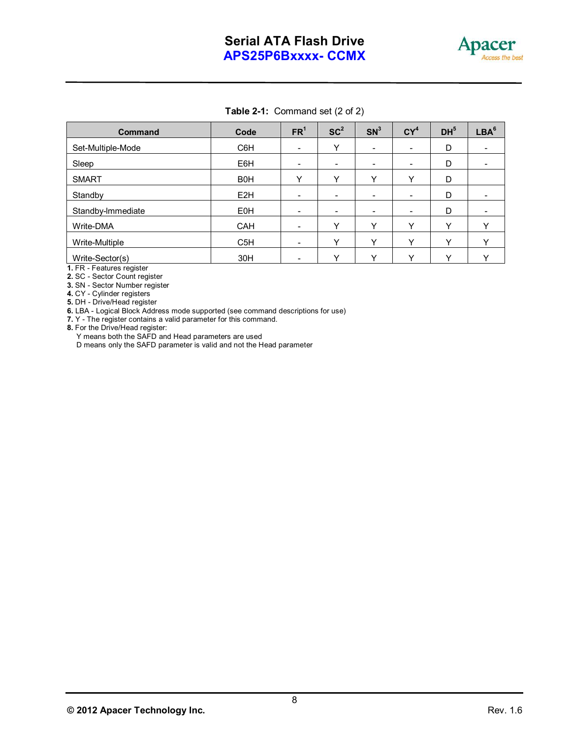

#### **Table 2-1:** Command set (2 of 2)

|                   |                  |                          | SC <sup>2</sup> | SN <sup>3</sup>          |                          | DH <sup>5</sup> | LBA <sup>6</sup> |
|-------------------|------------------|--------------------------|-----------------|--------------------------|--------------------------|-----------------|------------------|
| <b>Command</b>    | Code             | FR <sup>1</sup>          |                 |                          | $CY^4$                   |                 |                  |
| Set-Multiple-Mode | C6H              | $\blacksquare$           | Υ               |                          | $\overline{\phantom{0}}$ | D               |                  |
| Sleep             | E6H              | $\overline{\phantom{a}}$ |                 | $\overline{\phantom{0}}$ | $\overline{\phantom{0}}$ | D               |                  |
| <b>SMART</b>      | B <sub>0</sub> H | $\checkmark$             | ◡               | Y                        | $\checkmark$             | D               |                  |
| Standby           | E <sub>2</sub> H | $\blacksquare$           |                 | Ξ.                       | -                        | D               |                  |
| Standby-Immediate | <b>E0H</b>       | $\blacksquare$           |                 |                          | $\overline{\phantom{a}}$ | D               |                  |
| Write-DMA         | CAH              | $\overline{\phantom{a}}$ | $\checkmark$    | Y                        | Υ                        | $\checkmark$    | $\checkmark$     |
| Write-Multiple    | C <sub>5</sub> H | $\overline{\phantom{a}}$ | v               | Y                        | Υ                        | v               | $\checkmark$     |
| Write-Sector(s)   | 30H              | $\overline{\phantom{a}}$ |                 | v                        |                          |                 |                  |

**1.** FR - Features register

**2.** SC - Sector Count register

**3.** SN - Sector Number register

**4.** CY - Cylinder registers

**5.** DH - Drive/Head register

**6.** LBA - Logical Block Address mode supported (see command descriptions for use)

**7.** Y - The register contains a valid parameter for this command.

**8.** For the Drive/Head register:

Y means both the SAFD and Head parameters are used

D means only the SAFD parameter is valid and not the Head parameter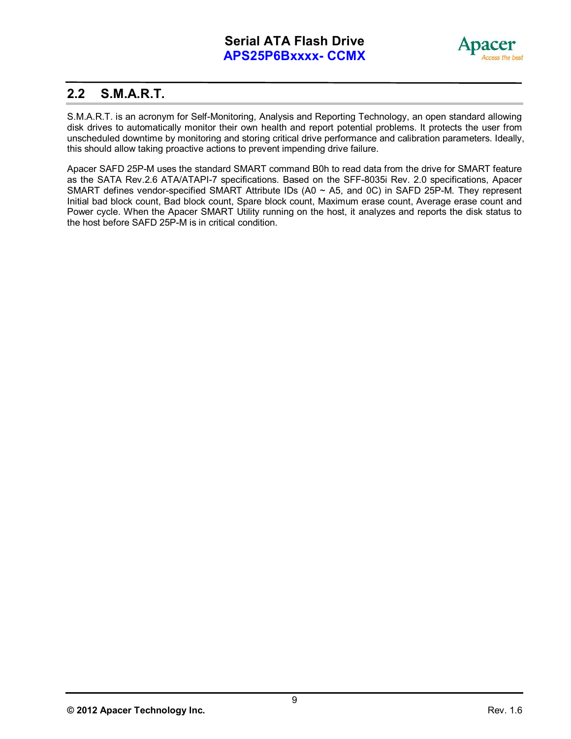

## **2.2 S.M.A.R.T.**

S.M.A.R.T. is an acronym for Self-Monitoring, Analysis and Reporting Technology, an open standard allowing disk drives to automatically monitor their own health and report potential problems. It protects the user from unscheduled downtime by monitoring and storing critical drive performance and calibration parameters. Ideally, this should allow taking proactive actions to prevent impending drive failure.

Apacer SAFD 25P-M uses the standard SMART command B0h to read data from the drive for SMART feature as the SATA Rev.2.6 ATA/ATAPI-7 specifications. Based on the SFF-8035i Rev. 2.0 specifications, Apacer SMART defines vendor-specified SMART Attribute IDs (A0 ~ A5, and 0C) in SAFD 25P-M. They represent Initial bad block count, Bad block count, Spare block count, Maximum erase count, Average erase count and Power cycle. When the Apacer SMART Utility running on the host, it analyzes and reports the disk status to the host before SAFD 25P-M is in critical condition.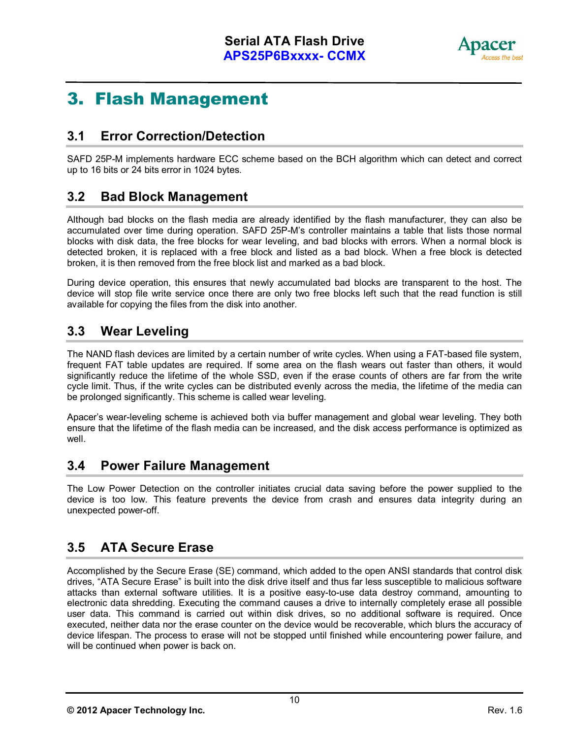

## **3. Flash Management**

### **3.1 Error Correction/Detection**

SAFD 25P-M implements hardware ECC scheme based on the BCH algorithm which can detect and correct up to 16 bits or 24 bits error in 1024 bytes.

### **3.2 Bad Block Management**

Although bad blocks on the flash media are already identified by the flash manufacturer, they can also be accumulated over time during operation. SAFD 25P-M's controller maintains a table that lists those normal blocks with disk data, the free blocks for wear leveling, and bad blocks with errors. When a normal block is detected broken, it is replaced with a free block and listed as a bad block. When a free block is detected broken, it is then removed from the free block list and marked as a bad block.

During device operation, this ensures that newly accumulated bad blocks are transparent to the host. The device will stop file write service once there are only two free blocks left such that the read function is still available for copying the files from the disk into another.

## **3.3 Wear Leveling**

The NAND flash devices are limited by a certain number of write cycles. When using a FAT-based file system, frequent FAT table updates are required. If some area on the flash wears out faster than others, it would significantly reduce the lifetime of the whole SSD, even if the erase counts of others are far from the write cycle limit. Thus, if the write cycles can be distributed evenly across the media, the lifetime of the media can be prolonged significantly. This scheme is called wear leveling.

Apacer's wear-leveling scheme is achieved both via buffer management and global wear leveling. They both ensure that the lifetime of the flash media can be increased, and the disk access performance is optimized as well.

### **3.4 Power Failure Management**

The Low Power Detection on the controller initiates crucial data saving before the power supplied to the device is too low. This feature prevents the device from crash and ensures data integrity during an unexpected power-off.

## **3.5 ATA Secure Erase**

Accomplished by the Secure Erase (SE) command, which added to the open ANSI standards that control disk drives, "ATA Secure Erase" is built into the disk drive itself and thus far less susceptible to malicious software attacks than external software utilities. It is a positive easy-to-use data destroy command, amounting to electronic data shredding. Executing the command causes a drive to internally completely erase all possible user data. This command is carried out within disk drives, so no additional software is required. Once executed, neither data nor the erase counter on the device would be recoverable, which blurs the accuracy of device lifespan. The process to erase will not be stopped until finished while encountering power failure, and will be continued when power is back on.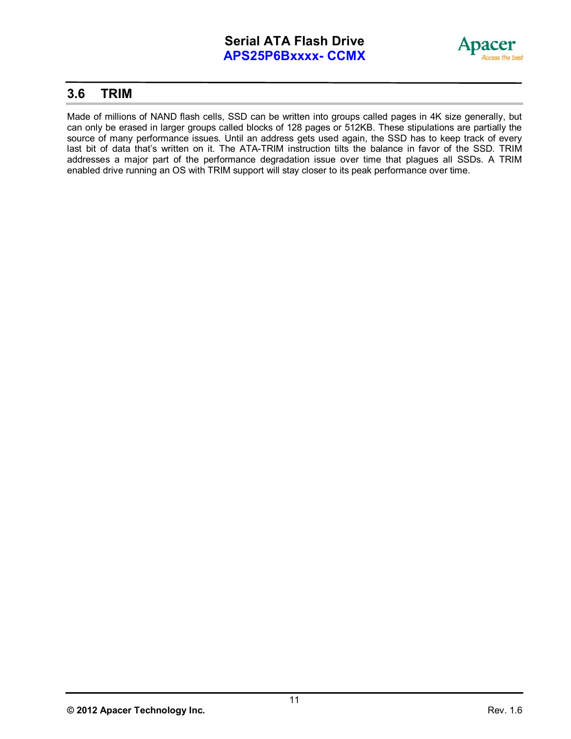

### **3.6 TRIM**

Made of millions of NAND flash cells, SSD can be written into groups called pages in 4K size generally, but can only be erased in larger groups called blocks of 128 pages or 512KB. These stipulations are partially the source of many performance issues. Until an address gets used again, the SSD has to keep track of every last bit of data that's written on it. The ATA-TRIM instruction tilts the balance in favor of the SSD. TRIM addresses a major part of the performance degradation issue over time that plagues all SSDs. A TRIM enabled drive running an OS with TRIM support will stay closer to its peak performance over time.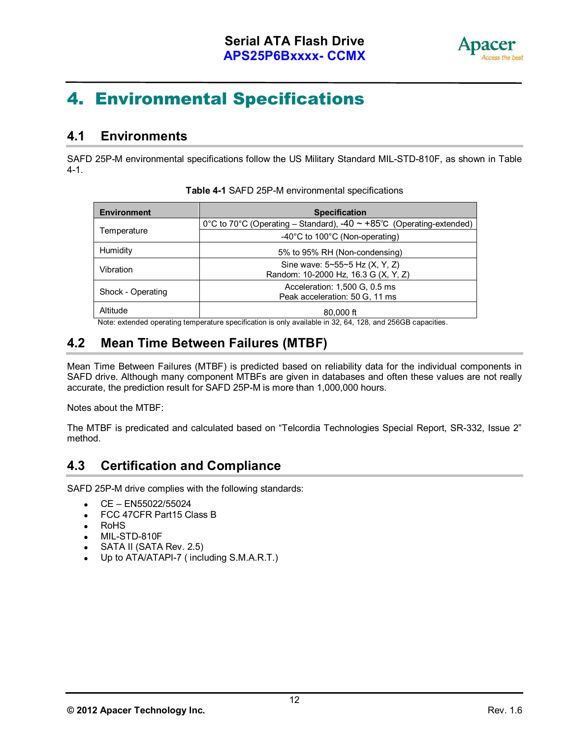

## **4. Environmental Specifications**

### **4.1 Environments**

SAFD 25P-M environmental specifications follow the US Military Standard MIL-STD-810F, as shown in Table 4-1.

| <b>Environment</b> | <b>Specification</b>                                                      |
|--------------------|---------------------------------------------------------------------------|
|                    | 0°C to 70°C (Operating - Standard), -40 $\sim$ +85°C (Operating-extended) |
| Temperature        | $-40^{\circ}$ C to 100 $^{\circ}$ C (Non-operating)                       |
| Humidity           | 5% to 95% RH (Non-condensing)                                             |
| Vibration          | Sine wave: 5~55~5 Hz (X, Y, Z)<br>Random: 10-2000 Hz, 16.3 G (X, Y, Z)    |
| Shock - Operating  | Acceleration: 1,500 G, 0.5 ms<br>Peak acceleration: 50 G, 11 ms           |
| Altitude           | $80,000$ ft                                                               |

**Table 4-1** SAFD 25P-M environmental specifications

Note: extended operating temperature specification is only available in 32, 64, 128, and 256GB capacities.

## **4.2 Mean Time Between Failures (MTBF)**

Mean Time Between Failures (MTBF) is predicted based on reliability data for the individual components in SAFD drive. Although many component MTBFs are given in databases and often these values are not really accurate, the prediction result for SAFD 25P-M is more than 1,000,000 hours.

Notes about the MTBF:

The MTBF is predicated and calculated based on "Telcordia Technologies Special Report, SR-332, Issue 2" method.

## **4.3 Certification and Compliance**

SAFD 25P-M drive complies with the following standards:

- $\text{CE} \text{EN55022/55024}$
- FCC 47CFR Part15 Class B
- RoHS
- MIL-STD-810F
- SATA II (SATA Rev. 2.5)
- Up to ATA/ATAPI-7 ( including S.M.A.R.T.)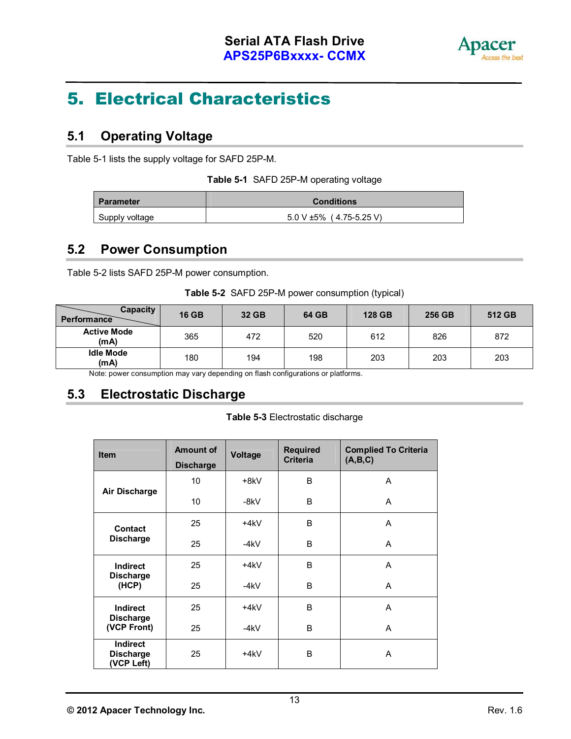

## **5. Electrical Characteristics**

## **5.1 Operating Voltage**

Table 5-1 lists the supply voltage for SAFD 25P-M.

| Table 5-1 SAFD 25P-M operating voltage |  |  |  |  |
|----------------------------------------|--|--|--|--|
|----------------------------------------|--|--|--|--|

| <b>Parameter</b> | <b>Conditions</b>             |
|------------------|-------------------------------|
| Supply voltage   | $5.0 V \pm 5\%$ (4.75-5.25 V) |

## **5.2 Power Consumption**

Table 5-2 lists SAFD 25P-M power consumption.

|  | Table 5-2 SAFD 25P-M power consumption (typical) |  |  |  |
|--|--------------------------------------------------|--|--|--|
|--|--------------------------------------------------|--|--|--|

| <b>Capacity</b><br>Performance | <b>16 GB</b> | 32 GB | <b>64 GB</b> | 128 GB | 256 GB | 512 GB |
|--------------------------------|--------------|-------|--------------|--------|--------|--------|
| <b>Active Mode</b><br>(mA)     | 365          | 472   | 520          | 612    | 826    | 872    |
| <b>Idle Mode</b><br>(mA)       | 180          | 194   | 198          | 203    | 203    | 203    |

Note: power consumption may vary depending on flash configurations or platforms.

## **5.3 Electrostatic Discharge**

#### **Table 5-3** Electrostatic discharge

| <b>Item</b>                                       | <b>Amount of</b><br><b>Discharge</b> | Voltage | <b>Required</b><br><b>Criteria</b> | <b>Complied To Criteria</b><br>(A,B,C) |
|---------------------------------------------------|--------------------------------------|---------|------------------------------------|----------------------------------------|
|                                                   | 10                                   | +8kV    | B                                  | A                                      |
| Air Discharge                                     | 10                                   | $-8kV$  | B                                  | A                                      |
| <b>Contact</b>                                    | 25                                   | $+4kV$  | B                                  | A                                      |
| <b>Discharge</b>                                  | 25                                   | $-4kV$  | B                                  | A                                      |
| Indirect                                          | 25                                   | $+4kV$  | <sub>B</sub>                       | A                                      |
| <b>Discharge</b><br>(HCP)                         | 25                                   | -4kV    | B                                  | A                                      |
| Indirect                                          | 25                                   | $+4kV$  | B                                  | A                                      |
| <b>Discharge</b><br>(VCP Front)                   | 25                                   | -4kV    | B                                  | A                                      |
| <b>Indirect</b><br><b>Discharge</b><br>(VCP Left) | 25                                   | +4kV    | B                                  | A                                      |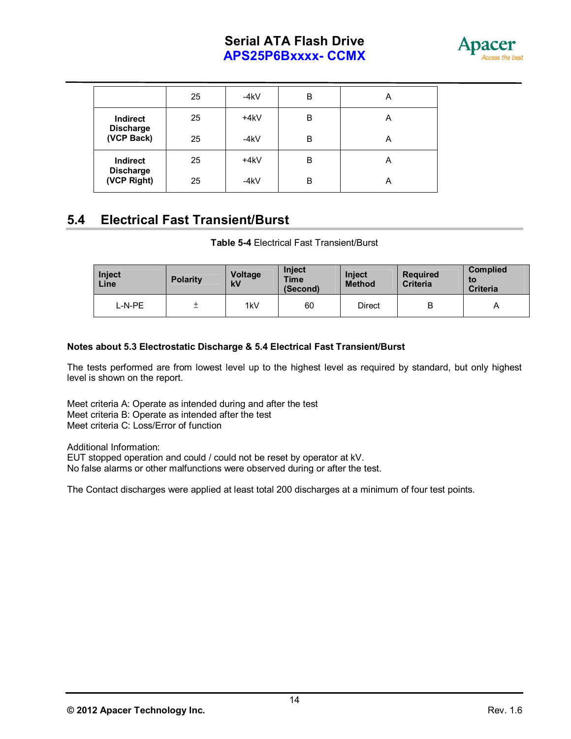## **Serial ATA Flash Drive APS25P6Bxxxx- CCMX**



|                                 | 25 | $-4kV$ | B | A |
|---------------------------------|----|--------|---|---|
| <b>Indirect</b>                 | 25 | $+4kV$ | B | Α |
| <b>Discharge</b><br>(VCP Back)  | 25 | $-4kV$ | в | Α |
| Indirect                        | 25 | +4kV   | B | Α |
| <b>Discharge</b><br>(VCP Right) | 25 | $-4kV$ | B | Α |

## **5.4 Electrical Fast Transient/Burst**

#### **Table 5-4** Electrical Fast Transient/Burst

| Inject<br>Line | <b>Polarity</b> | Voltage<br>kV | <b>Inject</b><br><b>Time</b><br>(Second) | <b>Inject</b><br><b>Method</b> | <b>Required</b><br><b>Criteria</b> | <b>Complied</b><br>to<br><b>Criteria</b> |
|----------------|-----------------|---------------|------------------------------------------|--------------------------------|------------------------------------|------------------------------------------|
| -N-PE          | ∸               | 1kV           | 60                                       | Direct                         | B                                  | A                                        |

#### **Notes about 5.3 Electrostatic Discharge & 5.4 Electrical Fast Transient/Burst**

The tests performed are from lowest level up to the highest level as required by standard, but only highest level is shown on the report.

Meet criteria A: Operate as intended during and after the test Meet criteria B: Operate as intended after the test Meet criteria C: Loss/Error of function

Additional Information: EUT stopped operation and could / could not be reset by operator at kV. No false alarms or other malfunctions were observed during or after the test.

The Contact discharges were applied at least total 200 discharges at a minimum of four test points.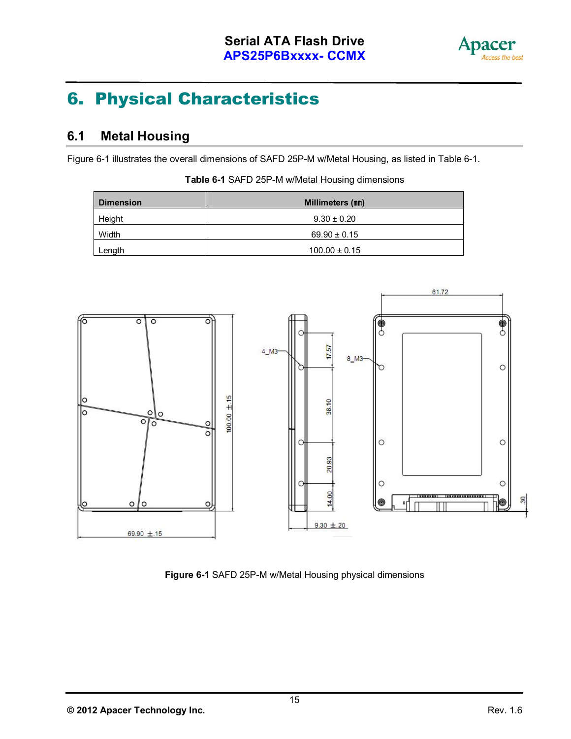

## **6. Physical Characteristics**

## **6.1 Metal Housing**

Figure 6-1 illustrates the overall dimensions of SAFD 25P-M w/Metal Housing, as listed in Table 6-1.

| <b>Dimension</b> | <b>Millimeters (mm)</b> |
|------------------|-------------------------|
| Height           | $9.30 \pm 0.20$         |
| Width            | $69.90 \pm 0.15$        |
| Length           | $100.00 \pm 0.15$       |

61.72  $\overline{\circ}$  $\overline{\circ}$ ō ⊕ 0 17.57 4 M3-8\_M3-ত  $\circ$  $00.00 + 15$ 0 38.10 နှစ်  $\circ$  $\circ$  $\circ$ C 20.93  $\circ$ O 14.00 ----------------- $\overline{30}$ o ſо  $\circ$  $\circ$  $9.30 \pm .20$ 69.90  $\pm .15$ 

**Table 6-1** SAFD 25P-M w/Metal Housing dimensions

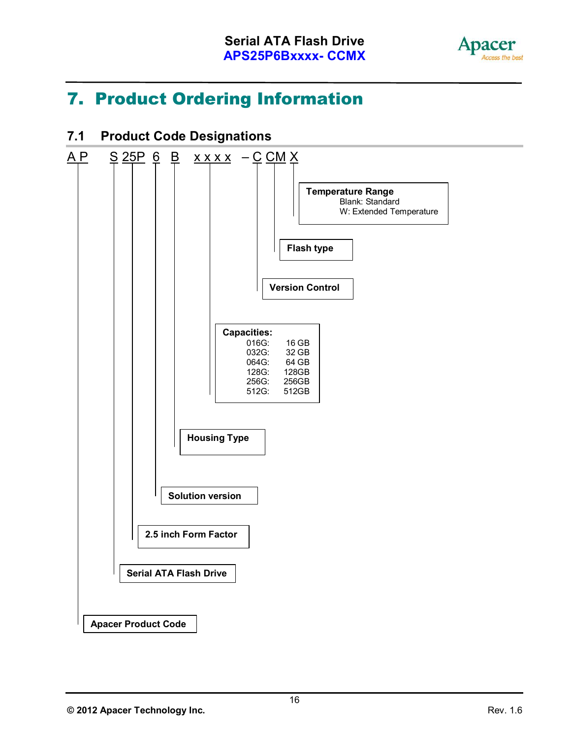

## **7. Product Ordering Information**

## **7.1 Product Code Designations**

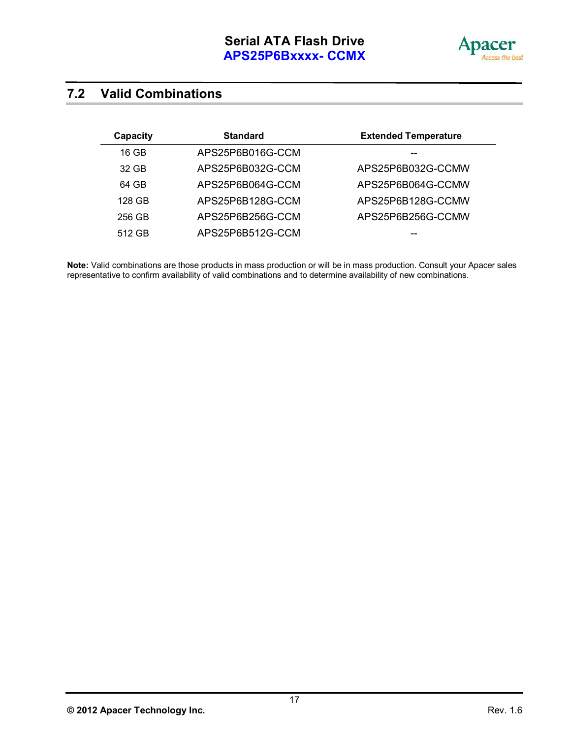

## **7.2 Valid Combinations**

| Capacity | <b>Standard</b>  | <b>Extended Temperature</b> |
|----------|------------------|-----------------------------|
| $16$ GB  | APS25P6B016G-CCM |                             |
| 32 GB    | APS25P6B032G-CCM | APS25P6B032G-CCMW           |
| 64 GB    | APS25P6B064G-CCM | APS25P6B064G-CCMW           |
| 128 GB   | APS25P6B128G-CCM | APS25P6B128G-CCMW           |
| 256 GB   | APS25P6B256G-CCM | APS25P6B256G-CCMW           |
| 512 GB   | APS25P6B512G-CCM |                             |

**Note:** Valid combinations are those products in mass production or will be in mass production. Consult your Apacer sales representative to confirm availability of valid combinations and to determine availability of new combinations.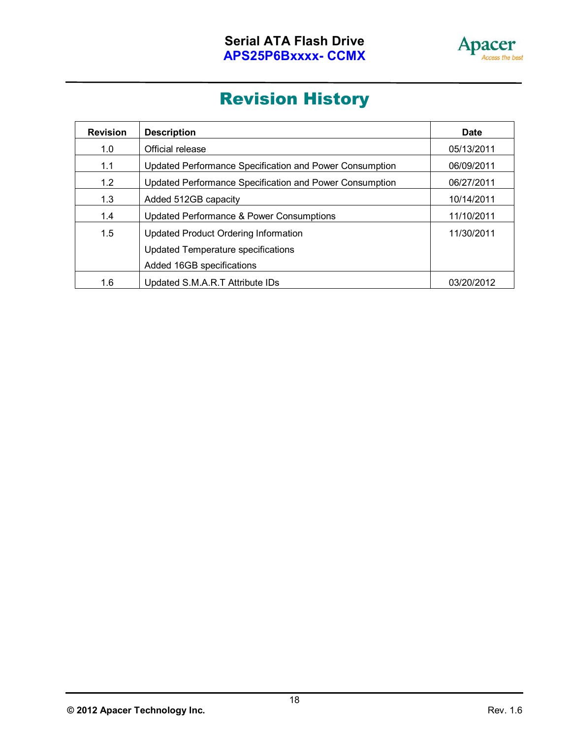

## **Revision History**

| <b>Revision</b> | <b>Description</b>                                      | <b>Date</b> |
|-----------------|---------------------------------------------------------|-------------|
| 1.0             | Official release                                        | 05/13/2011  |
| 1.1             | Updated Performance Specification and Power Consumption | 06/09/2011  |
| 1.2             | Updated Performance Specification and Power Consumption | 06/27/2011  |
| 1.3             | Added 512GB capacity                                    | 10/14/2011  |
| 1.4             | Updated Performance & Power Consumptions                | 11/10/2011  |
| 1.5             | Updated Product Ordering Information                    | 11/30/2011  |
|                 | Updated Temperature specifications                      |             |
|                 | Added 16GB specifications                               |             |
| 1.6             | Updated S.M.A.R.T Attribute IDs                         | 03/20/2012  |